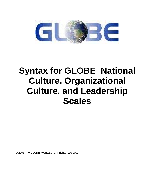

# **Syntax for GLOBE National Culture, Organizational Culture, and Leadership Scales**

© 2006 The GLOBE Foundation. All rights reserved.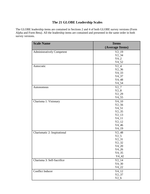# **The 21 GLOBE Leadership Scales**

The GLOBE leadership items are contained in Sections 2 and 4 of both GLOBE survey versions (Form Alpha and Form Beta). All the leadership items are contained and presented in the same order in both survey versions.

| <b>Scale Name</b>                 | <b>Items</b>    |
|-----------------------------------|-----------------|
|                                   | (Average Items) |
| <b>Administratively Competent</b> | $V2_19$         |
|                                   | $V2_34$         |
|                                   | $V4_2$          |
|                                   | $V4_52$         |
| Autocratic                        | $V2_4$          |
|                                   | $V2_36$         |
|                                   | $V4_33$         |
|                                   | $V4_37$         |
|                                   | $V4_48$         |
|                                   | $V4_54$         |
| Autonomous                        | $V2_7$          |
|                                   | $V2_8$          |
|                                   | $V2_2$          |
|                                   | $V4_55$         |
| Charisma 1: Visionary             | $V4_10$         |
|                                   | $V2_{-}56$      |
|                                   | $V4_51$         |
|                                   | $V2_{35}$       |
|                                   | $V2_{13}$       |
|                                   | $V4_11$         |
|                                   | $V2_12$         |
|                                   | $V4_46$         |
|                                   | $V4_{19}$       |
| Charismatic 2: Inspirational      | $V2_48$         |
|                                   | $V2_{-}5$       |
|                                   | $V2_31$         |
|                                   | $V2_32$         |
|                                   | $V4_{20}$       |
|                                   | $V4_26$         |
|                                   | $V4_35$         |
|                                   | $V4_42$         |
| Charisma 3: Self-Sacrifice        | $V2_{14}$       |
|                                   | $V4_30$         |
|                                   | $V4_22$         |
| <b>Conflict Inducer</b>           | $V4_{12}$       |
|                                   | $V2_{-}37$      |
|                                   | $V2_{-6}$       |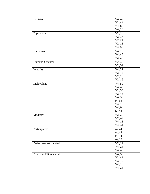| Decisive                | $V4_47$             |
|-------------------------|---------------------|
|                         | $V2_44$             |
|                         |                     |
|                         | $V4_8$              |
|                         | $V4$ <sub>-15</sub> |
| Diplomatic              | $V2_1$              |
|                         | $V2_{17}$           |
|                         | $V2_{21}$           |
|                         | $V2_18$             |
|                         | $V4_5$              |
| Face-Saver              | $V4_16$             |
|                         | $V4_45$             |
|                         | $V2_2$              |
| Humane-Oriented         | $V2_40$             |
|                         | $V2_{-}51$          |
|                         | $V4_32$             |
| Integrity               |                     |
|                         | $V2_15$             |
|                         | $V2_{.20}$          |
|                         | $V2_{16}$           |
| Malevolent              | $V4_50$             |
|                         | $V4_49$             |
|                         | $V2_50$             |
|                         | $V2_{-}46$          |
|                         | $V4_39$             |
|                         | $r4_{53}$           |
|                         | $V4_7$              |
|                         | $V4_6$              |
|                         | $r2_{-}43$          |
| Modesty                 | $V2_26$             |
|                         | $V2_{-}42$          |
|                         | $V4_18$             |
|                         | $V4_31$             |
|                         |                     |
| Participative           | $r4_4$              |
|                         | $r4_43$             |
|                         | $r4_14$             |
|                         | $r4_13$             |
| Performance-Oriented    | $V2_{11}$           |
|                         | $V4_24$             |
|                         | $V4_40$             |
| Procedural/Bureaucratic | $V4_56$             |
|                         | $V2_41$             |
|                         | $V4_{17}$           |
|                         | $V4_1$              |
|                         | $V4_25$             |
|                         |                     |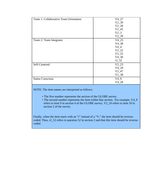| Team 1: Collaborative Team Orientation | $V4_27$  |
|----------------------------------------|----------|
|                                        | $V2_30$  |
|                                        | $V2_28$  |
|                                        | $V2_45$  |
|                                        | $V2_3$   |
|                                        | $V2_39$  |
| Team 2: Team Integrator                | $V4_23$  |
|                                        | $V4_38$  |
|                                        | $V4_4$   |
|                                        | $V2_22$  |
|                                        | $V2_25$  |
|                                        | $V4_36$  |
|                                        | $r2$ _52 |
| Self-Centered                          | $V2_23$  |
|                                        | $V4_29$  |
|                                        | $V2_47$  |
|                                        | $V2_38$  |
| <b>Status Conscious</b>                | $V4_9$   |
|                                        | $V4_28$  |
|                                        |          |

NOTE: The item names are interpreted as follows:

- The first number represents the section of the GLOBE survey.
- The second number represents the item within that section. For example, V4\_9 refers to item 9 in section 4 of the GLOBE survey. V2\_10 refers to item 10 in section 2 of the survey.

Finally, when the item starts with an "r" instead of a "V," the item should be reversecoded. Thus, r2\_52 refers to question 52 in section 2 and that this item should be reversecoded.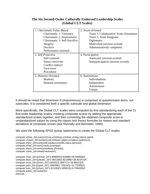# **The Six Second-Order Culturally Endorsed Leadership Scales (Global CLT Scales)**

| 1. Charismatic/Value-Based<br>Charismatic 1: Visionary<br>Charismatic 2: Inspirational<br>Charismatic 3: Self-Sacrifice<br>Integrity | 2. Team-Oriented<br>Team 1: Collaborative Team Orientation<br>Team 2: Team Integrator<br>Diplomatic<br>Malevolent (reverse-scored) |
|--------------------------------------------------------------------------------------------------------------------------------------|------------------------------------------------------------------------------------------------------------------------------------|
| Decisive<br>Performance-oriented                                                                                                     | Administratively competent                                                                                                         |
| 3. Self-Protective<br>Self-centered<br>Status conscious<br>Conflict inducer<br>Face-saver<br>Procedural                              | 4. Participative<br>Autocratic (reverse-scored)<br>Nonparticipative (reverse-scored)                                               |
| 5. Humane-Oriented<br>Modesty<br>Humane orientation                                                                                  | 6. Autonomous<br>Individualistic<br>Independent<br>Autonomous<br>Unique                                                            |

It should be noted that dimension 6 (Autonomous) is comprised of questionnaire items, not subscales. It is considered both a specific subscale and global dimension.

More specifically, the Global CLT scales were computed by first standardizing each of the 21 first-order leadership scales, creating composite scores by adding the appropriate standardized scales together, and then converting the obtained composite score to unstandardized values by using the classic test theory formulas for means and standard deviations of composite scores (see Nunnally and Bernstein, 1994).

We used the following SPSS syntax statements to create the Global CLT scales.

```
compute zChar_2d=sum(zch1vis,zch2insp,zch3sac,zinteg,zdecis,zperf). 
compute zTeam_2d=sum(zt1coll,zt2team,zdiplo,zrmalevo,zadminco). 
compute zNrci_2d=sum(zself,zstatus,zconflic,zface,zproced). 
compute zPart_2d=sum(zrauto,zrnonpar). 
compute zhum_2d=sum(zmodesty,zhuman). 
compute zauto_2d=mean(zautonom).
```

```
compute Char_2d=((zChar_2d*3.896055/4.62688)+35.09058)/6. 
compute team_2d=((zteam_2d*2.993195/3.821986)+28.81547)/5. 
compute nrcis_2d=((znrci_2d*3.66261/3.358717)+16.98613)/5. 
compute parti_2d=((zpart_2d*1.858398/1.766243)+10.73269)/2. 
compute hum_2d=((zhum_2d*1.811363/1.695923)+9.709433)/2. 
compute auton_2d=autonom. 
execute.
```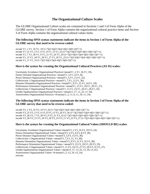## **The Organizational Culture Scales**

The GLOBE Organizational Culture scales are contained in Sections 1 and 3 of Form Alpha of the GLOBE survey. Section 1 of Form Alpha contains the organizational cultural practice items and Section 3 of Form Alpha contains the organizational cultural values items.

#### **The following SPSS syntax statements indicate the items in Section 1 of Form Alpha of the GLOBE survey that need to be reverse-coded:**

recode V1\_1 V1\_16 V1\_19 (1=7)(2=6)(3=5)(4=4)(5=3)(6=2)(7=1). recode V1\_31 V1\_3 V1\_4 V1\_8 V1\_13 V1\_25 (1=7)(2=6)(3=5)(4=4)(5=3)(6=2)(7=1). recode V1\_7 V1\_30 V1\_9 V1\_21 V1\_24 V1\_29 (1=7)(2=6)(3=5)(4=4)(5=3)(6=2)(7=1). recode V1\_15 V1\_18 V1\_20 V1\_27 V1\_26 V1\_23 (1=7)(2=6)(3=5)(4=4)(5=3)(6=2)(7=1). recode V1\_11 V1\_33  $(1=7)(2=6)(3=5)(4=4)(5=3)(6=2)(7=1)$ .

#### **Here is the syntax for creating the Organizational Cultural Practices (AS IS) scales:**

Uncertainty Avoidance Organizational Practices=mean(V1\_1,V1\_16,V1\_19). Future Oriented Organizational Practices =mean(V1\_3,V1\_4,V1\_8). Power Distance Organizational Practices =mean(V1\_5,V1\_13,V1\_25). Collectivism 1 Organizational Practices =mean(V1\_7,V1\_12,V1\_30). Humane Orientation Organizational Practices =mean(V1\_9,V1\_21,V1\_24,V1\_29). Performance Orientation Organizational Practices =mean(V1\_15,V1\_18,V1\_20,V1\_27). Collectivism 2 Organizational Practices =mean(V1\_11,V1\_23,V1\_26,V1\_28,V1\_33). Gender Egalitarianism Organizational Practices =mean(v1\_17, v1\_22, v1\_34). Assertiveness Organizational Practices  $=8$ -mean(v1\_2, v1\_6, v1\_10, v1\_14).

#### **The following SPSS syntax statements indicate the items in Section 3 of Form Alpha of the GLOBE survey that need to be reverse-coded:**

recode V3\_1 V3\_16 V3\_19 V3\_24 (1=7)(2=6)(3=5)(4=4)(5=3)(6=2)(7=1). recode V3\_25 V3\_3 V3\_4 V3\_8 V3\_13 V3\_26 V3\_34 (1=7)(2=6)(3=5)(4=4)(5=3)(6=2)(7=1). recode V3\_36 V3\_7 V3\_28 V3\_9 V3\_21 V3\_32 (1=7)(2=6)(3=5)(4=4)(5=3)(6=2)(7=1). recode V3\_38 V3\_15 V3\_18 V3\_20 V3\_33 V3\_11 V3\_23 V3\_27 (1=7)(2=6)(3=5)(4=4)(5=3)(6=2)(7=1).

#### **Here is the syntax for creating the Organizational Cultural Values (SHOULD BE) scales:**

Uncertainty Avoidance Organizational Values=mean(V3\_1,V3\_16,V3\_19,V3\_24). Future Orientation Organizational Values =mean(V3\_3,V3\_4,V3\_8,V3\_30). Power Distance Organizational Values =mean(V3\_5,V3\_13,V3\_36). Collectivism 1 Organizational Values =mean(V3\_7,V3\_12, V3\_40). Humane Orientation Organizational Values =mean(V3\_9,V3\_21,V3\_32,V3\_38). Performance Orientation Organizational Values =mean(V3\_15,V3\_18,V3\_20,V3\_33). Collectivism 2 Organizational Values =mean(V3\_11,V3\_23,V3\_27,V3\_29,V3\_31,V3\_37). Gender Egalitarianism Organizational Values =mean(v3\_17, v3\_25, v3\_39, v3\_41). Assertiveness Organizational Values =8-mean(v3  $2$ , v3  $10$ , v3  $14$ ). execute.